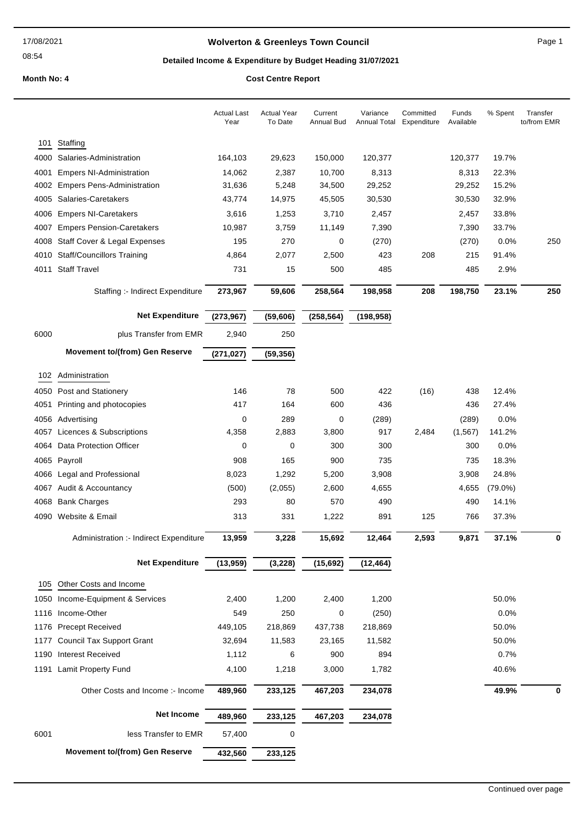## **Wolverton & Greenleys Town Council Page 1** Page 1

## **Detailed Income & Expenditure by Budget Heading 31/07/2021**

|      |                                        | <b>Actual Last</b><br>Year | <b>Actual Year</b><br>To Date | Current<br><b>Annual Bud</b> | Variance<br>Annual Total | Committed<br>Expenditure | Funds<br>Available | % Spent    | Transfer<br>to/from EMR |
|------|----------------------------------------|----------------------------|-------------------------------|------------------------------|--------------------------|--------------------------|--------------------|------------|-------------------------|
| 101  | Staffing                               |                            |                               |                              |                          |                          |                    |            |                         |
| 4000 | Salaries-Administration                | 164,103                    | 29,623                        | 150,000                      | 120,377                  |                          | 120,377            | 19.7%      |                         |
| 4001 | <b>Empers NI-Administration</b>        | 14,062                     | 2,387                         | 10,700                       | 8,313                    |                          | 8,313              | 22.3%      |                         |
|      | 4002 Empers Pens-Administration        | 31,636                     | 5,248                         | 34,500                       | 29,252                   |                          | 29,252             | 15.2%      |                         |
| 4005 | Salaries-Caretakers                    | 43,774                     | 14,975                        | 45,505                       | 30,530                   |                          | 30,530             | 32.9%      |                         |
| 4006 | <b>Empers NI-Caretakers</b>            | 3,616                      | 1,253                         | 3,710                        | 2,457                    |                          | 2,457              | 33.8%      |                         |
| 4007 | <b>Empers Pension-Caretakers</b>       | 10,987                     | 3,759                         | 11,149                       | 7,390                    |                          | 7,390              | 33.7%      |                         |
| 4008 | Staff Cover & Legal Expenses           | 195                        | 270                           | 0                            | (270)                    |                          | (270)              | 0.0%       | 250                     |
| 4010 | <b>Staff/Councillors Training</b>      | 4,864                      | 2,077                         | 2,500                        | 423                      | 208                      | 215                | 91.4%      |                         |
| 4011 | <b>Staff Travel</b>                    | 731                        | 15                            | 500                          | 485                      |                          | 485                | 2.9%       |                         |
|      | Staffing :- Indirect Expenditure       | 273,967                    | 59,606                        | 258,564                      | 198,958                  | 208                      | 198,750            | 23.1%      | 250                     |
|      | <b>Net Expenditure</b>                 | (273, 967)                 | (59, 606)                     | (258, 564)                   | (198, 958)               |                          |                    |            |                         |
| 6000 | plus Transfer from EMR                 | 2,940                      | 250                           |                              |                          |                          |                    |            |                         |
|      | <b>Movement to/(from) Gen Reserve</b>  | (271, 027)                 | (59, 356)                     |                              |                          |                          |                    |            |                         |
| 102  | Administration                         |                            |                               |                              |                          |                          |                    |            |                         |
|      | 4050 Post and Stationery               | 146                        | 78                            | 500                          | 422                      | (16)                     | 438                | 12.4%      |                         |
| 4051 | Printing and photocopies               | 417                        | 164                           | 600                          | 436                      |                          | 436                | 27.4%      |                         |
|      | 4056 Advertising                       | 0                          | 289                           | 0                            | (289)                    |                          | (289)              | 0.0%       |                         |
| 4057 | Licences & Subscriptions               | 4,358                      | 2,883                         | 3,800                        | 917                      | 2,484                    | (1, 567)           | 141.2%     |                         |
|      | 4064 Data Protection Officer           | 0                          | 0                             | 300                          | 300                      |                          | 300                | 0.0%       |                         |
| 4065 | Payroll                                | 908                        | 165                           | 900                          | 735                      |                          | 735                | 18.3%      |                         |
|      | 4066 Legal and Professional            | 8,023                      | 1,292                         | 5,200                        | 3,908                    |                          | 3,908              | 24.8%      |                         |
|      | 4067 Audit & Accountancy               | (500)                      | (2,055)                       | 2,600                        | 4,655                    |                          | 4,655              | $(79.0\%)$ |                         |
|      | 4068 Bank Charges                      | 293                        | 80                            | 570                          | 490                      |                          | 490                | 14.1%      |                         |
|      | 4090 Website & Email                   | 313                        | 331                           | 1,222                        | 891                      | 125                      | 766                | 37.3%      |                         |
|      | Administration :- Indirect Expenditure | 13,959                     | 3,228                         | 15,692                       | 12,464                   | 2,593                    | 9,871              | 37.1%      | 0                       |
|      | <b>Net Expenditure</b>                 | (13,959)                   | (3, 228)                      | (15, 692)                    | (12, 464)                |                          |                    |            |                         |
| 105  | Other Costs and Income                 |                            |                               |                              |                          |                          |                    |            |                         |
|      | 1050 Income-Equipment & Services       | 2,400                      | 1,200                         | 2,400                        | 1,200                    |                          |                    | 50.0%      |                         |
| 1116 | Income-Other                           | 549                        | 250                           | 0                            | (250)                    |                          |                    | 0.0%       |                         |
|      | 1176 Precept Received                  | 449,105                    | 218,869                       | 437,738                      | 218,869                  |                          |                    | 50.0%      |                         |
| 1177 | <b>Council Tax Support Grant</b>       | 32,694                     | 11,583                        | 23,165                       | 11,582                   |                          |                    | 50.0%      |                         |
|      | 1190 Interest Received                 | 1,112                      | 6                             | 900                          | 894                      |                          |                    | 0.7%       |                         |
|      | 1191 Lamit Property Fund               | 4,100                      | 1,218                         | 3,000                        | 1,782                    |                          |                    | 40.6%      |                         |
|      | Other Costs and Income :- Income       | 489,960                    | 233,125                       | 467,203                      | 234,078                  |                          |                    | 49.9%      | 0                       |
|      | <b>Net Income</b>                      | 489,960                    | 233,125                       | 467,203                      | 234,078                  |                          |                    |            |                         |
| 6001 | less Transfer to EMR                   | 57,400                     | 0                             |                              |                          |                          |                    |            |                         |
|      | <b>Movement to/(from) Gen Reserve</b>  | 432,560                    | 233,125                       |                              |                          |                          |                    |            |                         |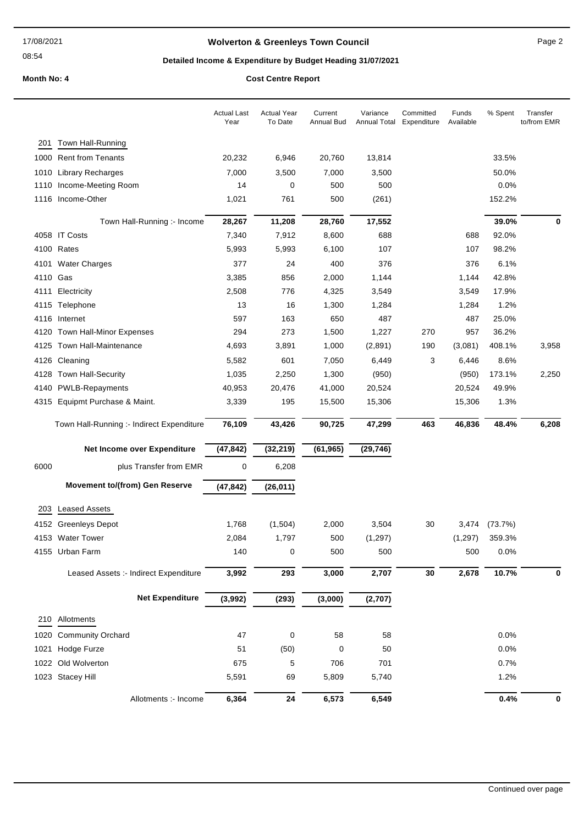## **Wolverton & Greenleys Town Council** Magness Council Page 2

## **Detailed Income & Expenditure by Budget Heading 31/07/2021**

|      |                                           | <b>Actual Last</b><br>Year | <b>Actual Year</b><br>To Date | Current<br>Annual Bud | Variance<br>Annual Total | Committed<br>Expenditure | Funds<br>Available | % Spent | Transfer<br>to/from EMR |
|------|-------------------------------------------|----------------------------|-------------------------------|-----------------------|--------------------------|--------------------------|--------------------|---------|-------------------------|
| 201  | Town Hall-Running                         |                            |                               |                       |                          |                          |                    |         |                         |
|      | 1000 Rent from Tenants                    | 20,232                     | 6,946                         | 20,760                | 13,814                   |                          |                    | 33.5%   |                         |
|      | 1010 Library Recharges                    | 7,000                      | 3,500                         | 7,000                 | 3,500                    |                          |                    | 50.0%   |                         |
| 1110 | Income-Meeting Room                       | 14                         | 0                             | 500                   | 500                      |                          |                    | 0.0%    |                         |
|      | 1116 Income-Other                         | 1,021                      | 761                           | 500                   | (261)                    |                          |                    | 152.2%  |                         |
|      | Town Hall-Running :- Income               | 28,267                     | 11,208                        | 28,760                | 17,552                   |                          |                    | 39.0%   | 0                       |
|      | 4058 IT Costs                             | 7,340                      | 7,912                         | 8,600                 | 688                      |                          | 688                | 92.0%   |                         |
|      | 4100 Rates                                | 5,993                      | 5,993                         | 6,100                 | 107                      |                          | 107                | 98.2%   |                         |
|      | 4101 Water Charges                        | 377                        | 24                            | 400                   | 376                      |                          | 376                | 6.1%    |                         |
| 4110 | Gas                                       | 3,385                      | 856                           | 2,000                 | 1,144                    |                          | 1,144              | 42.8%   |                         |
| 4111 | Electricity                               | 2,508                      | 776                           | 4,325                 | 3,549                    |                          | 3,549              | 17.9%   |                         |
|      | 4115 Telephone                            | 13                         | 16                            | 1,300                 | 1,284                    |                          | 1,284              | 1.2%    |                         |
|      | 4116 Internet                             | 597                        | 163                           | 650                   | 487                      |                          | 487                | 25.0%   |                         |
| 4120 | <b>Town Hall-Minor Expenses</b>           | 294                        | 273                           | 1,500                 | 1,227                    | 270                      | 957                | 36.2%   |                         |
|      | 4125 Town Hall-Maintenance                | 4,693                      | 3,891                         | 1,000                 | (2,891)                  | 190                      | (3,081)            | 408.1%  | 3,958                   |
| 4126 | Cleaning                                  | 5,582                      | 601                           | 7,050                 | 6,449                    | 3                        | 6,446              | 8.6%    |                         |
|      | 4128 Town Hall-Security                   | 1,035                      | 2,250                         | 1,300                 | (950)                    |                          | (950)              | 173.1%  | 2,250                   |
|      | 4140 PWLB-Repayments                      | 40,953                     | 20,476                        | 41,000                | 20,524                   |                          | 20,524             | 49.9%   |                         |
|      | 4315 Equipmt Purchase & Maint.            | 3,339                      | 195                           | 15,500                | 15,306                   |                          | 15,306             | 1.3%    |                         |
|      | Town Hall-Running :- Indirect Expenditure | 76,109                     | 43,426                        | 90,725                | 47,299                   | 463                      | 46,836             | 48.4%   | 6,208                   |
|      | Net Income over Expenditure               | (47, 842)                  | (32, 219)                     | (61, 965)             | (29, 746)                |                          |                    |         |                         |
| 6000 | plus Transfer from EMR                    | $\mathbf 0$                | 6,208                         |                       |                          |                          |                    |         |                         |
|      | <b>Movement to/(from) Gen Reserve</b>     | (47, 842)                  | (26, 011)                     |                       |                          |                          |                    |         |                         |
| 203  | <b>Leased Assets</b>                      |                            |                               |                       |                          |                          |                    |         |                         |
| 4152 | <b>Greenleys Depot</b>                    | 1,768                      | (1,504)                       | 2,000                 | 3,504                    | 30                       | 3,474              | (73.7%) |                         |
|      | 4153 Water Tower                          | 2,084                      | 1,797                         | 500                   | (1,297)                  |                          | (1,297)            | 359.3%  |                         |
|      | 4155 Urban Farm                           | 140                        | 0                             | 500                   | 500                      |                          | 500                | 0.0%    |                         |
|      | Leased Assets :- Indirect Expenditure     | 3,992                      | 293                           | 3,000                 | 2,707                    | 30                       | 2,678              | 10.7%   | 0                       |
|      |                                           |                            |                               |                       |                          |                          |                    |         |                         |
|      | <b>Net Expenditure</b>                    | (3,992)                    | (293)                         | (3,000)               | (2,707)                  |                          |                    |         |                         |
|      | 210 Allotments                            |                            |                               |                       |                          |                          |                    |         |                         |
| 1020 | <b>Community Orchard</b>                  | 47                         | 0                             | 58                    | 58                       |                          |                    | 0.0%    |                         |
|      | 1021 Hodge Furze                          | 51                         | (50)                          | 0                     | 50                       |                          |                    | 0.0%    |                         |
|      | 1022 Old Wolverton                        | 675                        | 5                             | 706                   | 701                      |                          |                    | 0.7%    |                         |
|      | 1023 Stacey Hill                          | 5,591                      | 69                            | 5,809                 | 5,740                    |                          |                    | 1.2%    |                         |
|      | Allotments :- Income                      | 6,364                      | 24                            | 6,573                 | 6,549                    |                          |                    | 0.4%    | 0                       |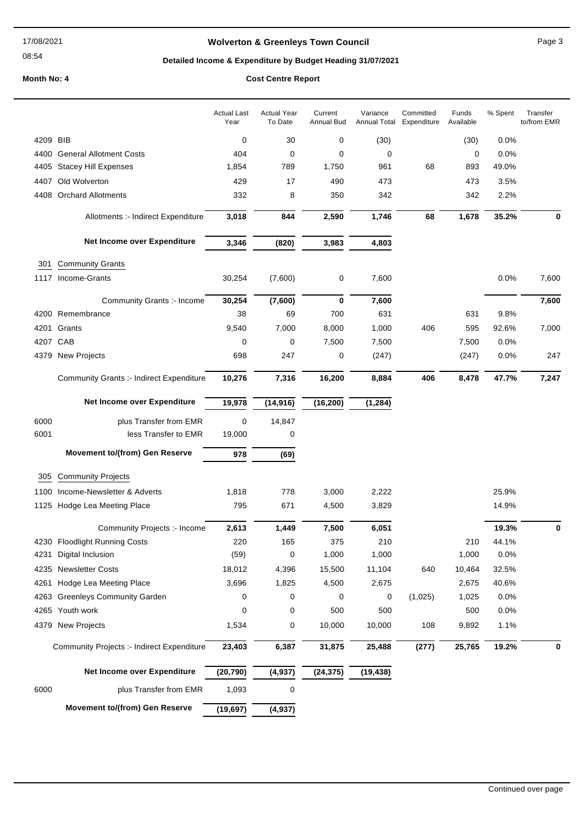#### 17/08/2021

#### 08:54

## **Wolverton & Greenleys Town Council** Magness Council Page 3

# **Detailed Income & Expenditure by Budget Heading 31/07/2021**

|          |                                                 | <b>Actual Last</b><br>Year | <b>Actual Year</b><br>To Date | Current<br><b>Annual Bud</b> | Variance<br>Annual Total | Committed<br>Expenditure | Funds<br>Available | % Spent | Transfer<br>to/from EMR |
|----------|-------------------------------------------------|----------------------------|-------------------------------|------------------------------|--------------------------|--------------------------|--------------------|---------|-------------------------|
| 4209 BIB |                                                 | 0                          | 30                            | 0                            | (30)                     |                          | (30)               | 0.0%    |                         |
|          | 4400 General Allotment Costs                    | 404                        | 0                             | 0                            | 0                        |                          | 0                  | 0.0%    |                         |
|          | 4405 Stacey Hill Expenses                       | 1,854                      | 789                           | 1,750                        | 961                      | 68                       | 893                | 49.0%   |                         |
| 4407     | Old Wolverton                                   | 429                        | 17                            | 490                          | 473                      |                          | 473                | 3.5%    |                         |
|          | 4408 Orchard Allotments                         | 332                        | 8                             | 350                          | 342                      |                          | 342                | 2.2%    |                         |
|          | Allotments :- Indirect Expenditure              | 3,018                      | 844                           | 2,590                        | 1,746                    | 68                       | 1,678              | 35.2%   | 0                       |
|          | Net Income over Expenditure                     | 3,346                      | (820)                         | 3,983                        | 4,803                    |                          |                    |         |                         |
|          |                                                 |                            |                               |                              |                          |                          |                    |         |                         |
| 301      | <b>Community Grants</b>                         |                            |                               |                              |                          |                          |                    |         |                         |
|          | 1117 Income-Grants                              | 30,254                     | (7,600)                       | 0                            | 7,600                    |                          |                    | 0.0%    | 7,600                   |
|          | Community Grants :- Income                      | 30,254                     | (7,600)                       | 0                            | 7,600                    |                          |                    |         | 7,600                   |
|          | 4200 Remembrance                                | 38                         | 69                            | 700                          | 631                      |                          | 631                | 9.8%    |                         |
|          | 4201 Grants                                     | 9,540                      | 7,000                         | 8,000                        | 1,000                    | 406                      | 595                | 92.6%   | 7,000                   |
| 4207 CAB |                                                 | 0                          | 0                             | 7,500                        | 7,500                    |                          | 7,500              | 0.0%    |                         |
|          | 4379 New Projects                               | 698                        | 247                           | 0                            | (247)                    |                          | (247)              | 0.0%    | 247                     |
|          | <b>Community Grants :- Indirect Expenditure</b> | 10,276                     | 7,316                         | 16,200                       | 8,884                    | 406                      | 8,478              | 47.7%   | 7,247                   |
|          | Net Income over Expenditure                     | 19,978                     | (14, 916)                     | (16, 200)                    | (1, 284)                 |                          |                    |         |                         |
| 6000     | plus Transfer from EMR                          | 0                          | 14,847                        |                              |                          |                          |                    |         |                         |
| 6001     | less Transfer to EMR                            | 19,000                     | 0                             |                              |                          |                          |                    |         |                         |
|          | <b>Movement to/(from) Gen Reserve</b>           | 978                        | (69)                          |                              |                          |                          |                    |         |                         |
| 305      | <b>Community Projects</b>                       |                            |                               |                              |                          |                          |                    |         |                         |
| 1100     | Income-Newsletter & Adverts                     | 1,818                      | 778                           | 3,000                        | 2,222                    |                          |                    | 25.9%   |                         |
|          | 1125 Hodge Lea Meeting Place                    | 795                        | 671                           | 4,500                        | 3,829                    |                          |                    | 14.9%   |                         |
|          | Community Projects :- Income                    | 2,613                      | 1,449                         | 7,500                        | 6,051                    |                          |                    | 19.3%   | 0                       |
|          | 4230 Floodlight Running Costs                   | 220                        | 165                           | 375                          | 210                      |                          | 210                | 44.1%   |                         |
| 4231     | Digital Inclusion                               | (59)                       | 0                             | 1,000                        | 1,000                    |                          | 1,000              | 0.0%    |                         |
|          | 4235 Newsletter Costs                           | 18,012                     | 4,396                         | 15,500                       | 11,104                   | 640                      | 10,464             | 32.5%   |                         |
| 4261     | Hodge Lea Meeting Place                         | 3,696                      | 1,825                         | 4,500                        | 2,675                    |                          | 2,675              | 40.6%   |                         |
|          | 4263 Greenleys Community Garden                 | 0                          | 0                             | 0                            | 0                        | (1,025)                  | 1,025              | 0.0%    |                         |
|          | 4265 Youth work                                 | 0                          | 0                             | 500                          | 500                      |                          | 500                | 0.0%    |                         |
|          | 4379 New Projects                               | 1,534                      | 0                             | 10,000                       | 10,000                   | 108                      | 9,892              | 1.1%    |                         |
|          | Community Projects :- Indirect Expenditure      | 23,403                     | 6,387                         | 31,875                       | 25,488                   | (277)                    | 25,765             | 19.2%   | 0                       |
|          | Net Income over Expenditure                     | (20, 790)                  | (4,937)                       | (24, 375)                    | (19, 438)                |                          |                    |         |                         |
| 6000     | plus Transfer from EMR                          | 1,093                      | 0                             |                              |                          |                          |                    |         |                         |
|          | <b>Movement to/(from) Gen Reserve</b>           | (19, 697)                  | (4, 937)                      |                              |                          |                          |                    |         |                         |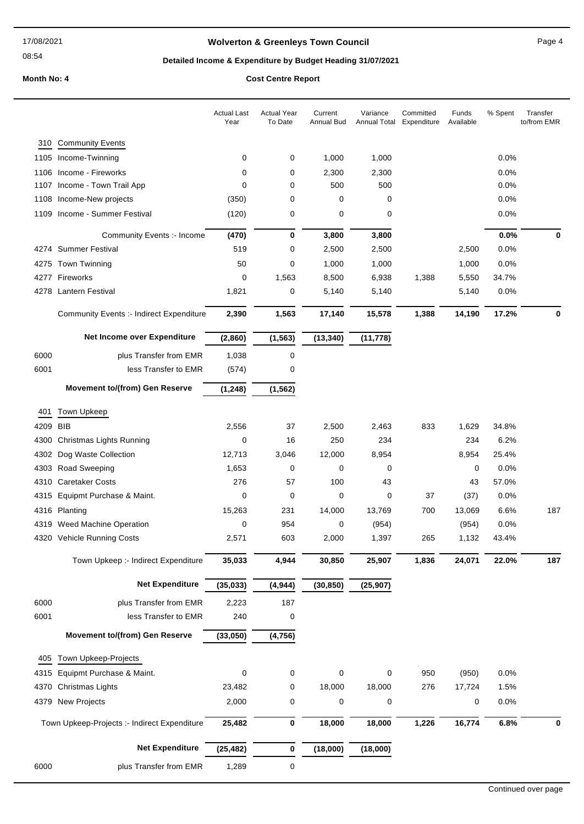## **Wolverton & Greenleys Town Council** Magnetic Page 4

## **Detailed Income & Expenditure by Budget Heading 31/07/2021**

|      |                                                        | <b>Actual Last</b><br>Year | <b>Actual Year</b><br>To Date | Current<br>Annual Bud | Variance<br>Annual Total | Committed<br>Expenditure | Funds<br>Available | % Spent       | Transfer<br>to/from EMR |
|------|--------------------------------------------------------|----------------------------|-------------------------------|-----------------------|--------------------------|--------------------------|--------------------|---------------|-------------------------|
| 310  | <b>Community Events</b>                                |                            |                               |                       |                          |                          |                    |               |                         |
|      | 1105 Income-Twinning                                   | 0                          | 0                             | 1,000                 | 1,000                    |                          |                    | 0.0%          |                         |
|      | 1106 Income - Fireworks                                | 0                          | 0                             | 2,300                 | 2,300                    |                          |                    | 0.0%          |                         |
|      | 1107 Income - Town Trail App                           | $\mathbf 0$                | 0                             | 500                   | 500                      |                          |                    | 0.0%          |                         |
|      | 1108 Income-New projects                               | (350)                      | 0                             | 0                     | 0                        |                          |                    | 0.0%          |                         |
|      | 1109 Income - Summer Festival                          | (120)                      | 0                             | 0                     | 0                        |                          |                    | 0.0%          |                         |
|      | Community Events :- Income                             | (470)                      | 0                             | 3,800                 | 3,800                    |                          |                    | 0.0%          | 0                       |
|      | 4274 Summer Festival                                   | 519                        | 0                             | 2,500                 | 2,500                    |                          | 2,500              | 0.0%          |                         |
|      | 4275 Town Twinning                                     | 50                         | 0                             | 1,000                 | 1,000                    |                          | 1,000              | 0.0%          |                         |
|      | 4277 Fireworks                                         | 0                          | 1,563                         | 8,500                 | 6,938                    | 1,388                    | 5,550              | 34.7%         |                         |
|      | 4278 Lantern Festival                                  | 1,821                      | 0                             | 5,140                 | 5,140                    |                          | 5,140              | 0.0%          |                         |
|      |                                                        |                            |                               |                       |                          |                          |                    |               |                         |
|      | <b>Community Events :- Indirect Expenditure</b>        | 2,390                      | 1,563                         | 17,140                | 15,578                   | 1,388                    | 14,190             | 17.2%         | $\bf{0}$                |
|      | Net Income over Expenditure                            | (2,860)                    | (1, 563)                      | (13, 340)             | (11, 778)                |                          |                    |               |                         |
| 6000 | plus Transfer from EMR                                 | 1,038                      | 0                             |                       |                          |                          |                    |               |                         |
| 6001 | less Transfer to EMR                                   | (574)                      | 0                             |                       |                          |                          |                    |               |                         |
|      | <b>Movement to/(from) Gen Reserve</b>                  | (1, 248)                   | (1, 562)                      |                       |                          |                          |                    |               |                         |
|      |                                                        |                            |                               |                       |                          |                          |                    |               |                         |
| 401  | Town Upkeep                                            |                            |                               |                       |                          |                          |                    |               |                         |
| 4209 | <b>BIB</b>                                             | 2,556                      | 37                            | 2,500                 | 2,463                    | 833                      | 1,629              | 34.8%         |                         |
| 4300 | Christmas Lights Running                               | 0                          | 16                            | 250                   | 234                      |                          | 234                | 6.2%          |                         |
| 4302 | Dog Waste Collection                                   | 12,713                     | 3,046                         | 12,000                | 8,954                    |                          | 8,954              | 25.4%         |                         |
| 4303 | <b>Road Sweeping</b>                                   | 1,653                      | 0                             | 0                     | 0                        |                          | 0                  | 0.0%          |                         |
|      | 4310 Caretaker Costs<br>4315 Equipmt Purchase & Maint. | 276<br>0                   | 57<br>0                       | 100<br>0              | 43<br>0                  | 37                       | 43                 | 57.0%<br>0.0% |                         |
|      |                                                        |                            | 231                           |                       | 13,769                   | 700                      | (37)<br>13,069     | 6.6%          | 187                     |
| 4319 | 4316 Planting<br>Weed Machine Operation                | 15,263<br>0                | 954                           | 14,000<br>0           | (954)                    |                          | (954)              | 0.0%          |                         |
|      | 4320 Vehicle Running Costs                             | 2,571                      | 603                           | 2,000                 | 1,397                    | 265                      | 1,132              | 43.4%         |                         |
|      |                                                        |                            |                               |                       |                          |                          |                    |               |                         |
|      | Town Upkeep :- Indirect Expenditure                    | 35,033                     | 4,944                         | 30,850                | 25,907                   | 1,836                    | 24,071             | 22.0%         | 187                     |
|      | <b>Net Expenditure</b>                                 | (35, 033)                  | (4, 944)                      | (30, 850)             | (25, 907)                |                          |                    |               |                         |
| 6000 | plus Transfer from EMR                                 | 2,223                      | 187                           |                       |                          |                          |                    |               |                         |
| 6001 | less Transfer to EMR                                   | 240                        | 0                             |                       |                          |                          |                    |               |                         |
|      | <b>Movement to/(from) Gen Reserve</b>                  | (33,050)                   | (4, 756)                      |                       |                          |                          |                    |               |                         |
| 405  | Town Upkeep-Projects                                   |                            |                               |                       |                          |                          |                    |               |                         |
| 4315 | Equipmt Purchase & Maint.                              | 0                          | 0                             | 0                     | 0                        | 950                      | (950)              | 0.0%          |                         |
| 4370 | Christmas Lights                                       | 23,482                     | 0                             | 18,000                | 18,000                   | 276                      | 17,724             | 1.5%          |                         |
|      | 4379 New Projects                                      | 2,000                      | 0                             | 0                     | $\pmb{0}$                |                          | 0                  | 0.0%          |                         |
|      | Town Upkeep-Projects :- Indirect Expenditure           | 25,482                     | 0                             | 18,000                | 18,000                   | 1,226                    | 16,774             | 6.8%          | 0                       |
|      | <b>Net Expenditure</b>                                 | (25, 482)                  | 0                             | (18,000)              | (18,000)                 |                          |                    |               |                         |
| 6000 | plus Transfer from EMR                                 | 1,289                      | 0                             |                       |                          |                          |                    |               |                         |
|      |                                                        |                            |                               |                       |                          |                          |                    |               |                         |